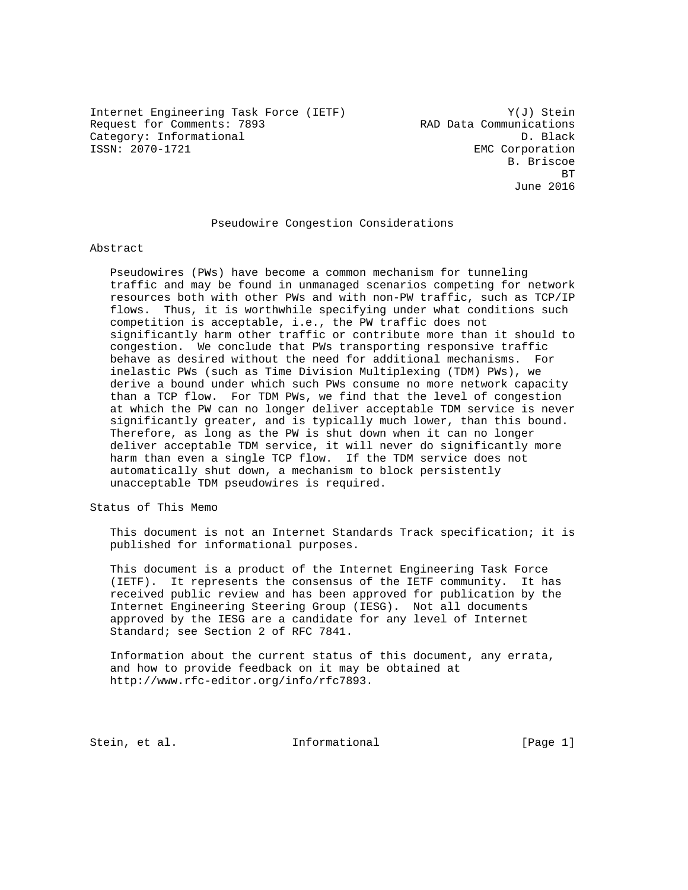Internet Engineering Task Force (IETF) Y(J) Stein Request for Comments: 7893 RAD Data Communications Category: Informational D. Black<br>
ISSN: 2070-1721<br>
D. Black

EMC Corporation B. Briscoe **BT BT BT** June 2016

### Pseudowire Congestion Considerations

#### Abstract

 Pseudowires (PWs) have become a common mechanism for tunneling traffic and may be found in unmanaged scenarios competing for network resources both with other PWs and with non-PW traffic, such as TCP/IP flows. Thus, it is worthwhile specifying under what conditions such competition is acceptable, i.e., the PW traffic does not significantly harm other traffic or contribute more than it should to congestion. We conclude that PWs transporting responsive traffic behave as desired without the need for additional mechanisms. For inelastic PWs (such as Time Division Multiplexing (TDM) PWs), we derive a bound under which such PWs consume no more network capacity than a TCP flow. For TDM PWs, we find that the level of congestion at which the PW can no longer deliver acceptable TDM service is never significantly greater, and is typically much lower, than this bound. Therefore, as long as the PW is shut down when it can no longer deliver acceptable TDM service, it will never do significantly more harm than even a single TCP flow. If the TDM service does not automatically shut down, a mechanism to block persistently unacceptable TDM pseudowires is required.

Status of This Memo

 This document is not an Internet Standards Track specification; it is published for informational purposes.

 This document is a product of the Internet Engineering Task Force (IETF). It represents the consensus of the IETF community. It has received public review and has been approved for publication by the Internet Engineering Steering Group (IESG). Not all documents approved by the IESG are a candidate for any level of Internet Standard; see Section 2 of RFC 7841.

 Information about the current status of this document, any errata, and how to provide feedback on it may be obtained at http://www.rfc-editor.org/info/rfc7893.

Stein, et al. 10. Informational 1. [Page 1]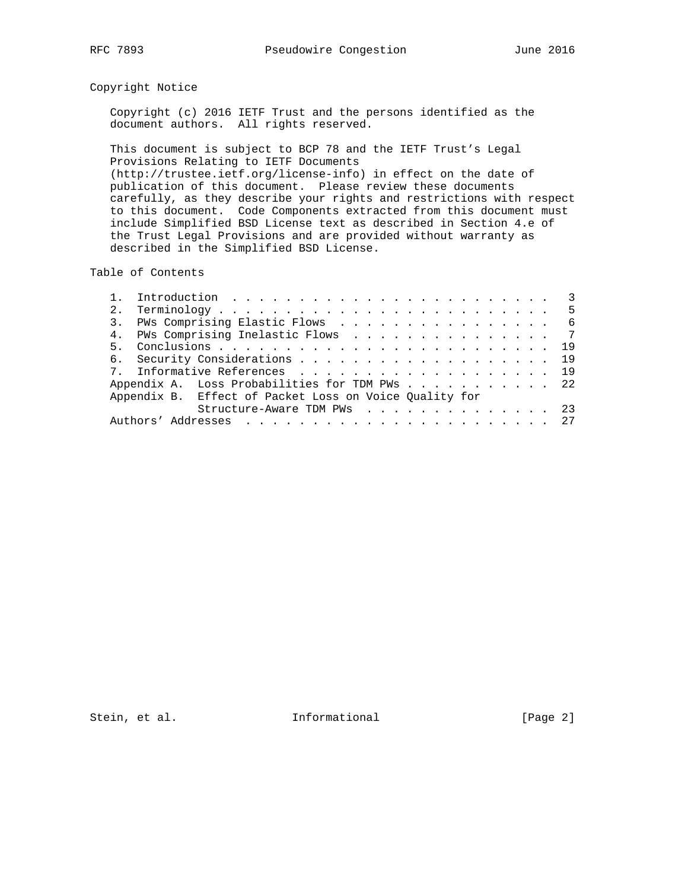# Copyright Notice

 Copyright (c) 2016 IETF Trust and the persons identified as the document authors. All rights reserved.

 This document is subject to BCP 78 and the IETF Trust's Legal Provisions Relating to IETF Documents (http://trustee.ietf.org/license-info) in effect on the date of publication of this document. Please review these documents carefully, as they describe your rights and restrictions with respect to this document. Code Components extracted from this document must include Simplified BSD License text as described in Section 4.e of the Trust Legal Provisions and are provided without warranty as described in the Simplified BSD License.

Table of Contents

| 2.             |                                                        |  |  |  |  |
|----------------|--------------------------------------------------------|--|--|--|--|
|                | 3. PWs Comprising Elastic Flows 6                      |  |  |  |  |
|                | 4. PWs Comprising Inelastic Flows 7                    |  |  |  |  |
| 5 <sub>1</sub> |                                                        |  |  |  |  |
|                | 6. Security Considerations 19                          |  |  |  |  |
|                | 7. Informative References 19                           |  |  |  |  |
|                | Appendix A. Loss Probabilities for TDM PWs 22          |  |  |  |  |
|                | Appendix B. Effect of Packet Loss on Voice Ouality for |  |  |  |  |
|                | Structure-Aware TDM PWs 23                             |  |  |  |  |
|                |                                                        |  |  |  |  |

Stein, et al. 1nformational [Page 2]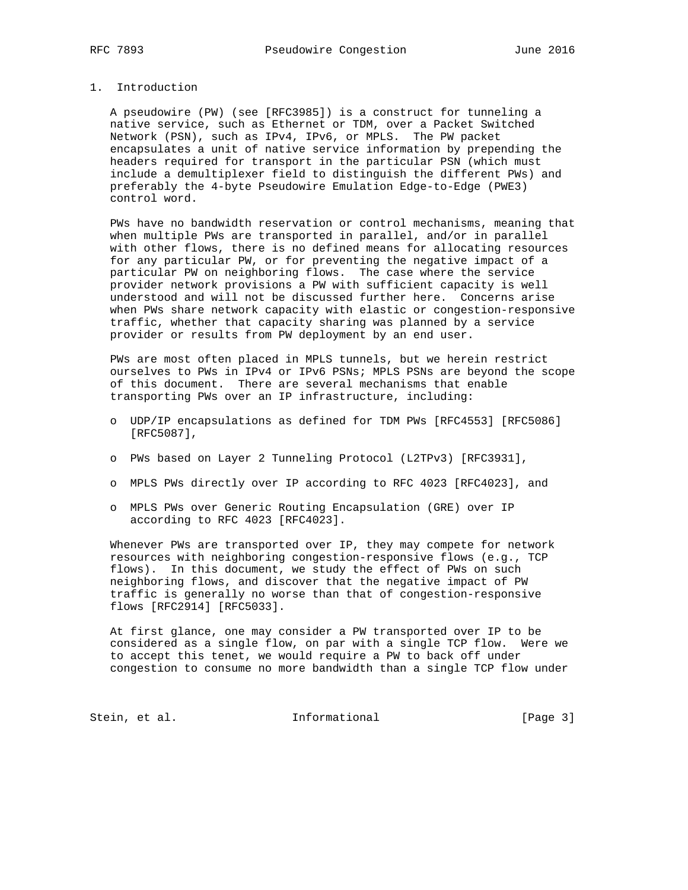# 1. Introduction

 A pseudowire (PW) (see [RFC3985]) is a construct for tunneling a native service, such as Ethernet or TDM, over a Packet Switched Network (PSN), such as IPv4, IPv6, or MPLS. The PW packet encapsulates a unit of native service information by prepending the headers required for transport in the particular PSN (which must include a demultiplexer field to distinguish the different PWs) and preferably the 4-byte Pseudowire Emulation Edge-to-Edge (PWE3) control word.

 PWs have no bandwidth reservation or control mechanisms, meaning that when multiple PWs are transported in parallel, and/or in parallel with other flows, there is no defined means for allocating resources for any particular PW, or for preventing the negative impact of a particular PW on neighboring flows. The case where the service provider network provisions a PW with sufficient capacity is well understood and will not be discussed further here. Concerns arise when PWs share network capacity with elastic or congestion-responsive traffic, whether that capacity sharing was planned by a service provider or results from PW deployment by an end user.

 PWs are most often placed in MPLS tunnels, but we herein restrict ourselves to PWs in IPv4 or IPv6 PSNs; MPLS PSNs are beyond the scope of this document. There are several mechanisms that enable transporting PWs over an IP infrastructure, including:

- o UDP/IP encapsulations as defined for TDM PWs [RFC4553] [RFC5086] [RFC5087],
- o PWs based on Layer 2 Tunneling Protocol (L2TPv3) [RFC3931],
- o MPLS PWs directly over IP according to RFC 4023 [RFC4023], and
- o MPLS PWs over Generic Routing Encapsulation (GRE) over IP according to RFC 4023 [RFC4023].

 Whenever PWs are transported over IP, they may compete for network resources with neighboring congestion-responsive flows (e.g., TCP flows). In this document, we study the effect of PWs on such neighboring flows, and discover that the negative impact of PW traffic is generally no worse than that of congestion-responsive flows [RFC2914] [RFC5033].

 At first glance, one may consider a PW transported over IP to be considered as a single flow, on par with a single TCP flow. Were we to accept this tenet, we would require a PW to back off under congestion to consume no more bandwidth than a single TCP flow under

Stein, et al. 1nformational [Page 3]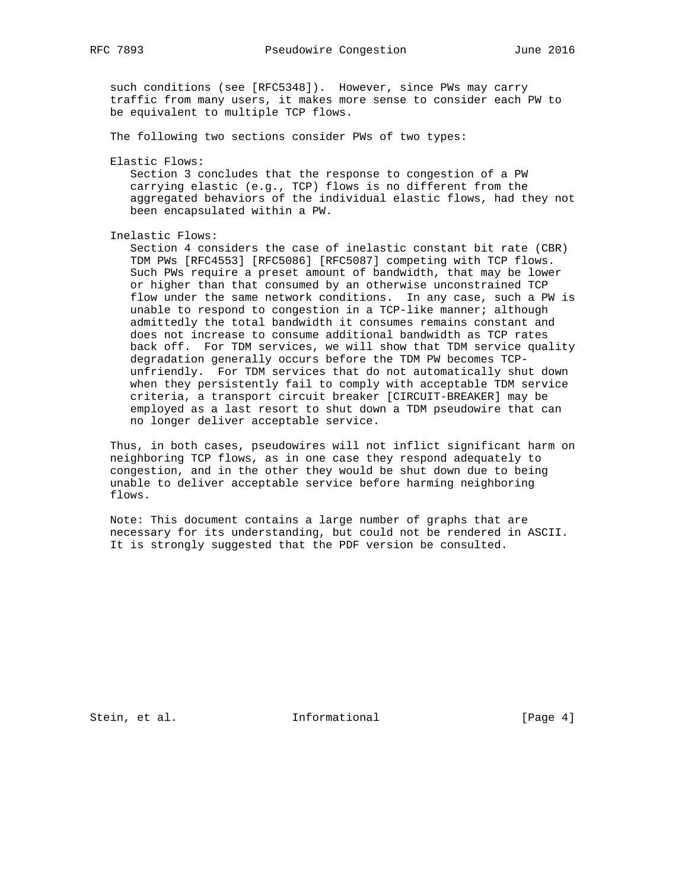such conditions (see [RFC5348]). However, since PWs may carry traffic from many users, it makes more sense to consider each PW to be equivalent to multiple TCP flows.

The following two sections consider PWs of two types:

Elastic Flows:

 Section 3 concludes that the response to congestion of a PW carrying elastic (e.g., TCP) flows is no different from the aggregated behaviors of the individual elastic flows, had they not been encapsulated within a PW.

Inelastic Flows:

 Section 4 considers the case of inelastic constant bit rate (CBR) TDM PWs [RFC4553] [RFC5086] [RFC5087] competing with TCP flows. Such PWs require a preset amount of bandwidth, that may be lower or higher than that consumed by an otherwise unconstrained TCP flow under the same network conditions. In any case, such a PW is unable to respond to congestion in a TCP-like manner; although admittedly the total bandwidth it consumes remains constant and does not increase to consume additional bandwidth as TCP rates back off. For TDM services, we will show that TDM service quality degradation generally occurs before the TDM PW becomes TCP unfriendly. For TDM services that do not automatically shut down when they persistently fail to comply with acceptable TDM service criteria, a transport circuit breaker [CIRCUIT-BREAKER] may be employed as a last resort to shut down a TDM pseudowire that can no longer deliver acceptable service.

 Thus, in both cases, pseudowires will not inflict significant harm on neighboring TCP flows, as in one case they respond adequately to congestion, and in the other they would be shut down due to being unable to deliver acceptable service before harming neighboring flows.

 Note: This document contains a large number of graphs that are necessary for its understanding, but could not be rendered in ASCII. It is strongly suggested that the PDF version be consulted.

Stein, et al. 1nformational [Page 4]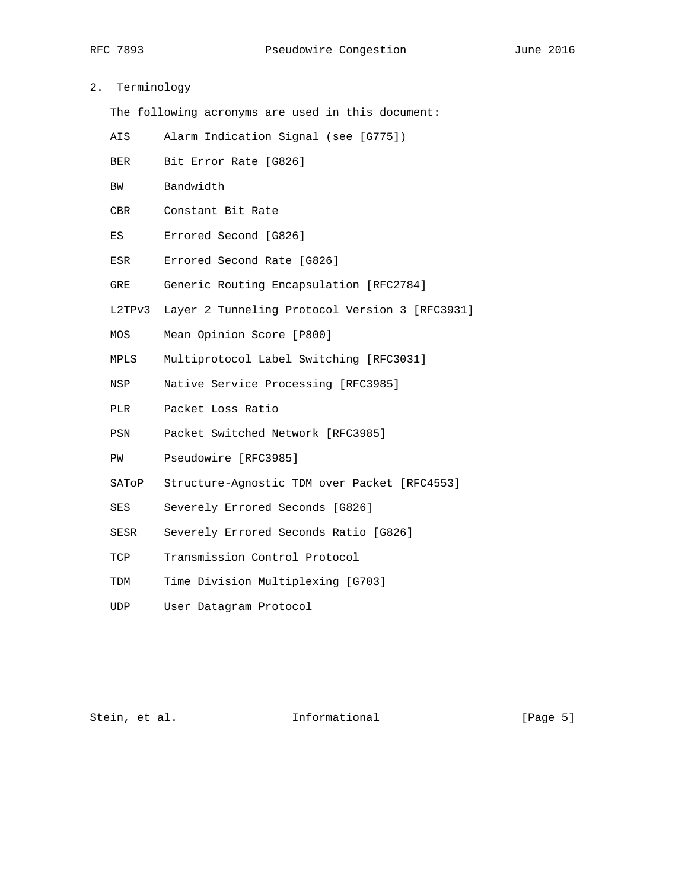# 2. Terminology

The following acronyms are used in this document:

- AIS Alarm Indication Signal (see [G775])
- BER Bit Error Rate [G826]
- BW Bandwidth
- CBR Constant Bit Rate
- ES Errored Second [G826]
- ESR Errored Second Rate [G826]
- GRE Generic Routing Encapsulation [RFC2784]
- L2TPv3 Layer 2 Tunneling Protocol Version 3 [RFC3931]
- MOS Mean Opinion Score [P800]
- MPLS Multiprotocol Label Switching [RFC3031]
- NSP Native Service Processing [RFC3985]
- PLR Packet Loss Ratio
- PSN Packet Switched Network [RFC3985]
- PW Pseudowire [RFC3985]
- SAToP Structure-Agnostic TDM over Packet [RFC4553]
- SES Severely Errored Seconds [G826]
- SESR Severely Errored Seconds Ratio [G826]
- TCP Transmission Control Protocol
- TDM Time Division Multiplexing [G703]
- UDP User Datagram Protocol

Stein, et al. 10 methormational [Page 5]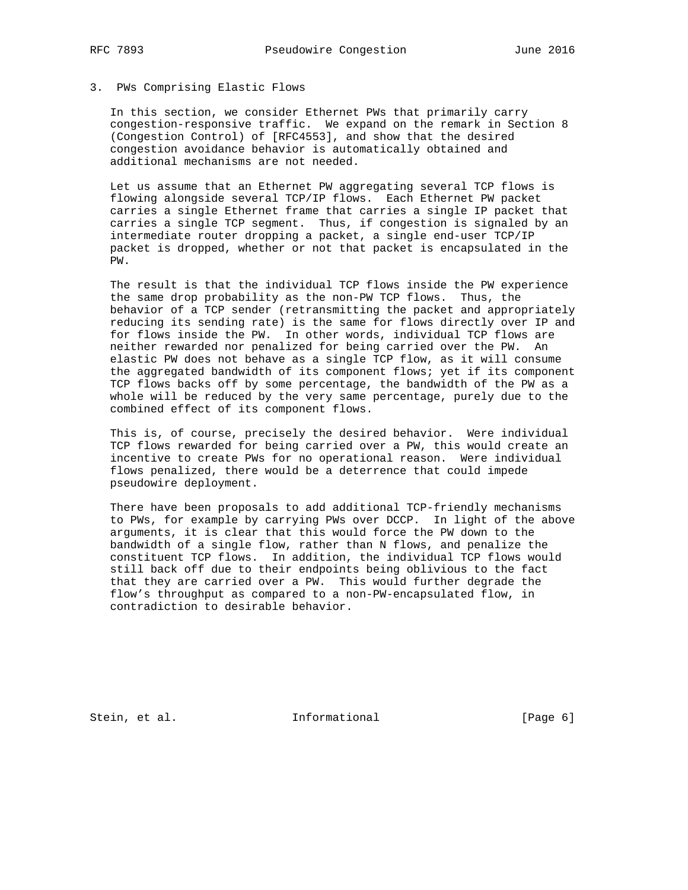## 3. PWs Comprising Elastic Flows

 In this section, we consider Ethernet PWs that primarily carry congestion-responsive traffic. We expand on the remark in Section 8 (Congestion Control) of [RFC4553], and show that the desired congestion avoidance behavior is automatically obtained and additional mechanisms are not needed.

 Let us assume that an Ethernet PW aggregating several TCP flows is flowing alongside several TCP/IP flows. Each Ethernet PW packet carries a single Ethernet frame that carries a single IP packet that carries a single TCP segment. Thus, if congestion is signaled by an intermediate router dropping a packet, a single end-user TCP/IP packet is dropped, whether or not that packet is encapsulated in the PW.

 The result is that the individual TCP flows inside the PW experience the same drop probability as the non-PW TCP flows. Thus, the behavior of a TCP sender (retransmitting the packet and appropriately reducing its sending rate) is the same for flows directly over IP and for flows inside the PW. In other words, individual TCP flows are neither rewarded nor penalized for being carried over the PW. An elastic PW does not behave as a single TCP flow, as it will consume the aggregated bandwidth of its component flows; yet if its component TCP flows backs off by some percentage, the bandwidth of the PW as a whole will be reduced by the very same percentage, purely due to the combined effect of its component flows.

 This is, of course, precisely the desired behavior. Were individual TCP flows rewarded for being carried over a PW, this would create an incentive to create PWs for no operational reason. Were individual flows penalized, there would be a deterrence that could impede pseudowire deployment.

 There have been proposals to add additional TCP-friendly mechanisms to PWs, for example by carrying PWs over DCCP. In light of the above arguments, it is clear that this would force the PW down to the bandwidth of a single flow, rather than N flows, and penalize the constituent TCP flows. In addition, the individual TCP flows would still back off due to their endpoints being oblivious to the fact that they are carried over a PW. This would further degrade the flow's throughput as compared to a non-PW-encapsulated flow, in contradiction to desirable behavior.

Stein, et al. 1nformational (Page 6)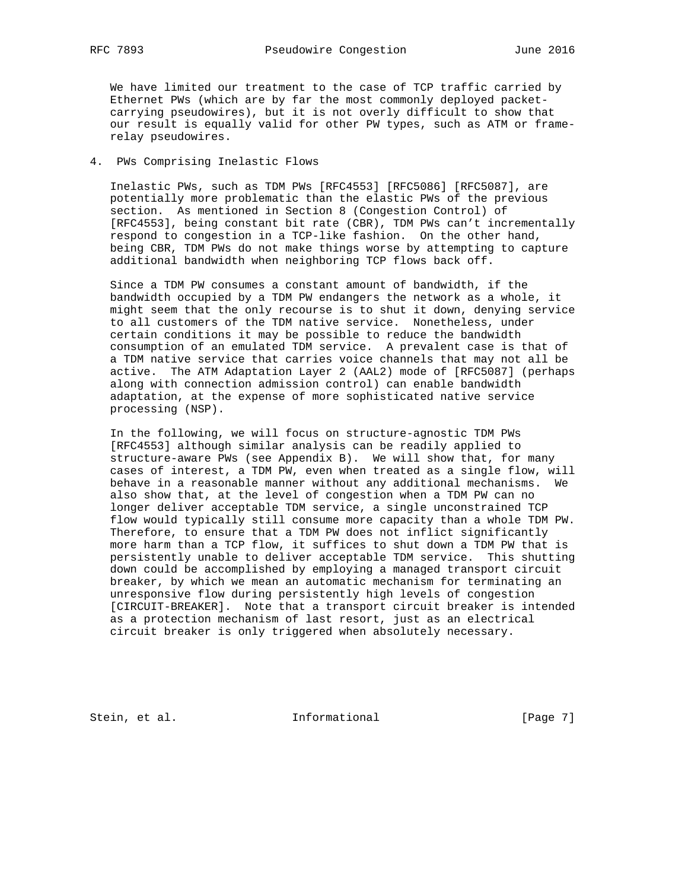We have limited our treatment to the case of TCP traffic carried by Ethernet PWs (which are by far the most commonly deployed packet carrying pseudowires), but it is not overly difficult to show that our result is equally valid for other PW types, such as ATM or frame relay pseudowires.

# 4. PWs Comprising Inelastic Flows

 Inelastic PWs, such as TDM PWs [RFC4553] [RFC5086] [RFC5087], are potentially more problematic than the elastic PWs of the previous section. As mentioned in Section 8 (Congestion Control) of [RFC4553], being constant bit rate (CBR), TDM PWs can't incrementally respond to congestion in a TCP-like fashion. On the other hand, being CBR, TDM PWs do not make things worse by attempting to capture additional bandwidth when neighboring TCP flows back off.

 Since a TDM PW consumes a constant amount of bandwidth, if the bandwidth occupied by a TDM PW endangers the network as a whole, it might seem that the only recourse is to shut it down, denying service to all customers of the TDM native service. Nonetheless, under certain conditions it may be possible to reduce the bandwidth consumption of an emulated TDM service. A prevalent case is that of a TDM native service that carries voice channels that may not all be active. The ATM Adaptation Layer 2 (AAL2) mode of [RFC5087] (perhaps along with connection admission control) can enable bandwidth adaptation, at the expense of more sophisticated native service processing (NSP).

 In the following, we will focus on structure-agnostic TDM PWs [RFC4553] although similar analysis can be readily applied to structure-aware PWs (see Appendix B). We will show that, for many cases of interest, a TDM PW, even when treated as a single flow, will behave in a reasonable manner without any additional mechanisms. We also show that, at the level of congestion when a TDM PW can no longer deliver acceptable TDM service, a single unconstrained TCP flow would typically still consume more capacity than a whole TDM PW. Therefore, to ensure that a TDM PW does not inflict significantly more harm than a TCP flow, it suffices to shut down a TDM PW that is persistently unable to deliver acceptable TDM service. This shutting down could be accomplished by employing a managed transport circuit breaker, by which we mean an automatic mechanism for terminating an unresponsive flow during persistently high levels of congestion [CIRCUIT-BREAKER]. Note that a transport circuit breaker is intended as a protection mechanism of last resort, just as an electrical circuit breaker is only triggered when absolutely necessary.

Stein, et al. 1nformational [Page 7]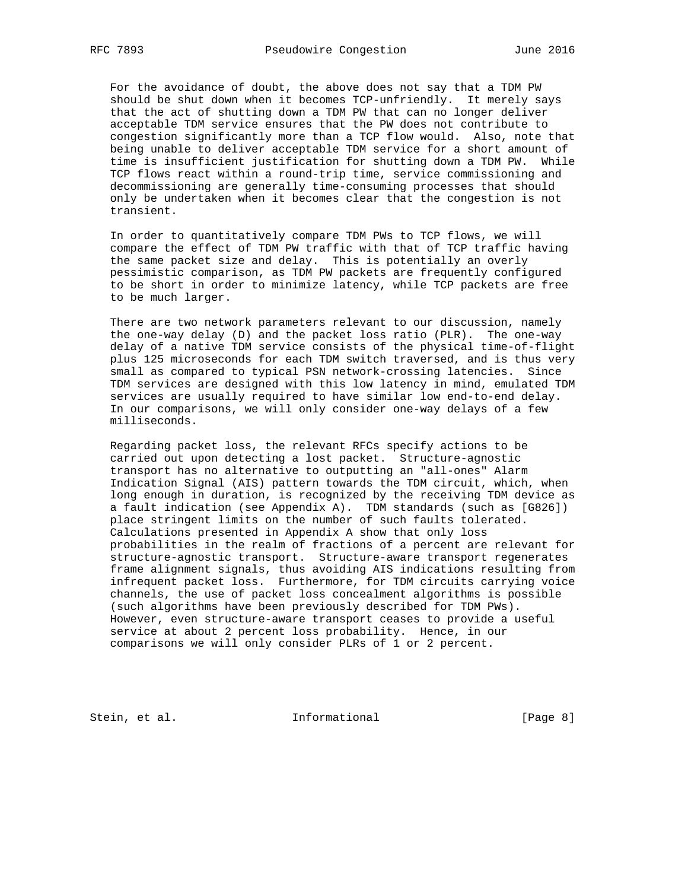For the avoidance of doubt, the above does not say that a TDM PW should be shut down when it becomes TCP-unfriendly. It merely says that the act of shutting down a TDM PW that can no longer deliver acceptable TDM service ensures that the PW does not contribute to congestion significantly more than a TCP flow would. Also, note that being unable to deliver acceptable TDM service for a short amount of time is insufficient justification for shutting down a TDM PW. While TCP flows react within a round-trip time, service commissioning and decommissioning are generally time-consuming processes that should only be undertaken when it becomes clear that the congestion is not transient.

 In order to quantitatively compare TDM PWs to TCP flows, we will compare the effect of TDM PW traffic with that of TCP traffic having the same packet size and delay. This is potentially an overly pessimistic comparison, as TDM PW packets are frequently configured to be short in order to minimize latency, while TCP packets are free to be much larger.

 There are two network parameters relevant to our discussion, namely the one-way delay (D) and the packet loss ratio (PLR). The one-way delay of a native TDM service consists of the physical time-of-flight plus 125 microseconds for each TDM switch traversed, and is thus very small as compared to typical PSN network-crossing latencies. Since TDM services are designed with this low latency in mind, emulated TDM services are usually required to have similar low end-to-end delay. In our comparisons, we will only consider one-way delays of a few milliseconds.

 Regarding packet loss, the relevant RFCs specify actions to be carried out upon detecting a lost packet. Structure-agnostic transport has no alternative to outputting an "all-ones" Alarm Indication Signal (AIS) pattern towards the TDM circuit, which, when long enough in duration, is recognized by the receiving TDM device as a fault indication (see Appendix A). TDM standards (such as [G826]) place stringent limits on the number of such faults tolerated. Calculations presented in Appendix A show that only loss probabilities in the realm of fractions of a percent are relevant for structure-agnostic transport. Structure-aware transport regenerates frame alignment signals, thus avoiding AIS indications resulting from infrequent packet loss. Furthermore, for TDM circuits carrying voice channels, the use of packet loss concealment algorithms is possible (such algorithms have been previously described for TDM PWs). However, even structure-aware transport ceases to provide a useful service at about 2 percent loss probability. Hence, in our comparisons we will only consider PLRs of 1 or 2 percent.

Stein, et al. 1nformational [Page 8]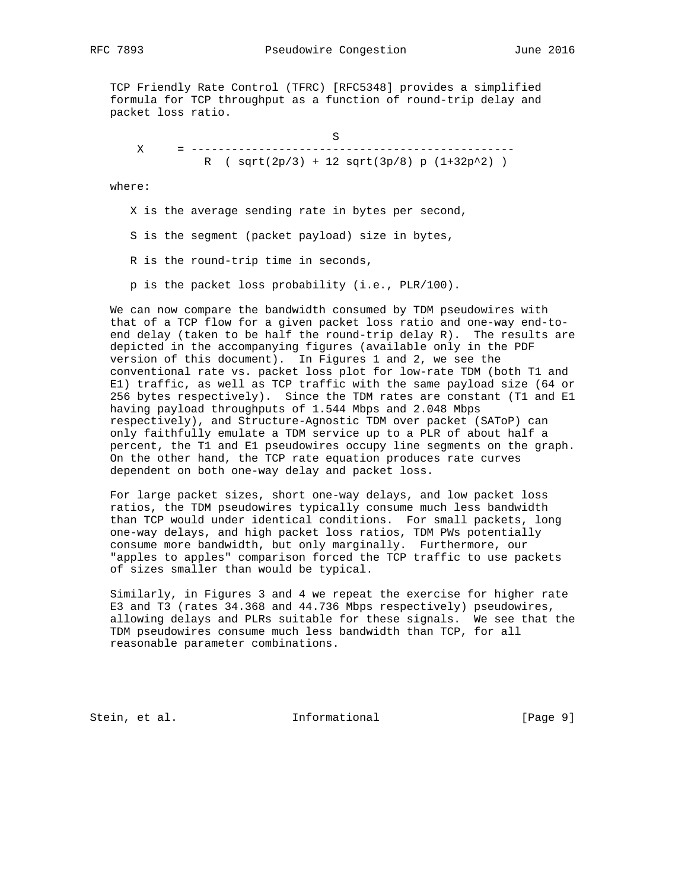RFC 7893 Pseudowire Congestion June 2016

 TCP Friendly Rate Control (TFRC) [RFC5348] provides a simplified formula for TCP throughput as a function of round-trip delay and packet loss ratio.

 S X = ------------------------------------------------ R (  $sqrt(2p/3) + 12sqrt(3p/8) p (1+32p^2)$  )

where:

X is the average sending rate in bytes per second,

S is the segment (packet payload) size in bytes,

R is the round-trip time in seconds,

p is the packet loss probability (i.e., PLR/100).

 We can now compare the bandwidth consumed by TDM pseudowires with that of a TCP flow for a given packet loss ratio and one-way end-to end delay (taken to be half the round-trip delay R). The results are depicted in the accompanying figures (available only in the PDF version of this document). In Figures 1 and 2, we see the conventional rate vs. packet loss plot for low-rate TDM (both T1 and E1) traffic, as well as TCP traffic with the same payload size (64 or 256 bytes respectively). Since the TDM rates are constant (T1 and E1 having payload throughputs of 1.544 Mbps and 2.048 Mbps respectively), and Structure-Agnostic TDM over packet (SAToP) can only faithfully emulate a TDM service up to a PLR of about half a percent, the T1 and E1 pseudowires occupy line segments on the graph. On the other hand, the TCP rate equation produces rate curves dependent on both one-way delay and packet loss.

 For large packet sizes, short one-way delays, and low packet loss ratios, the TDM pseudowires typically consume much less bandwidth than TCP would under identical conditions. For small packets, long one-way delays, and high packet loss ratios, TDM PWs potentially consume more bandwidth, but only marginally. Furthermore, our "apples to apples" comparison forced the TCP traffic to use packets of sizes smaller than would be typical.

 Similarly, in Figures 3 and 4 we repeat the exercise for higher rate E3 and T3 (rates 34.368 and 44.736 Mbps respectively) pseudowires, allowing delays and PLRs suitable for these signals. We see that the TDM pseudowires consume much less bandwidth than TCP, for all reasonable parameter combinations.

Stein, et al. 1nformational [Page 9]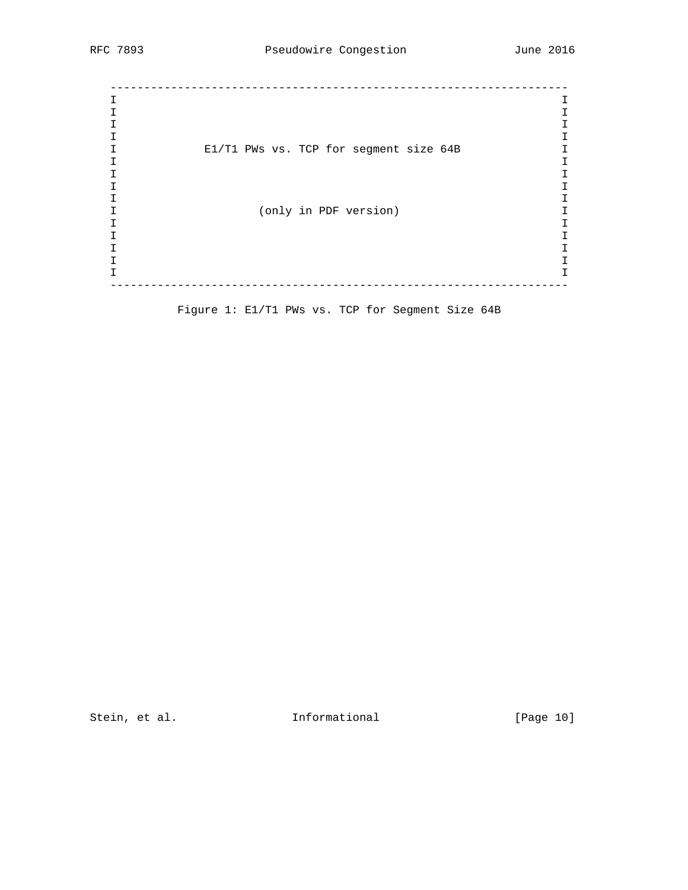-------------------------------------------------------------------- I I I I I I I I I E1/T1 PWs vs. TCP for segment size 64B I I I I I I I I I I (only in PDF version) I I I I I I I I I I I --------------------------------------------------------------------

Figure 1: E1/T1 PWs vs. TCP for Segment Size 64B

Stein, et al. 1nformational [Page 10]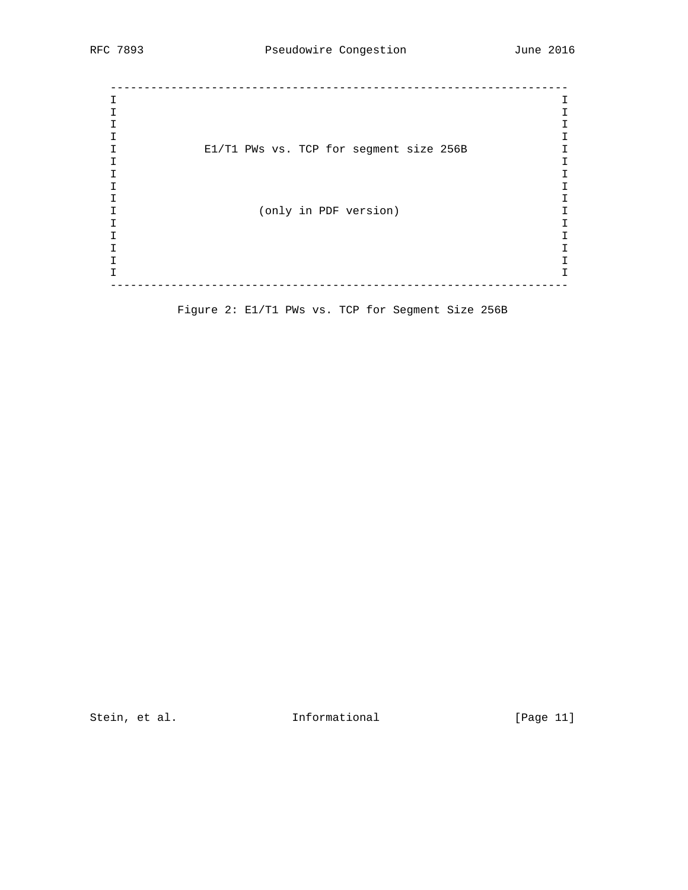-------------------------------------------------------------------- I I I I I I I I I E1/T1 PWs vs. TCP for segment size 256B I I I I I I I I I I (only in PDF version) I I I I I I I I I I I --------------------------------------------------------------------

Figure 2: E1/T1 PWs vs. TCP for Segment Size 256B

Stein, et al. 1nformational [Page 11]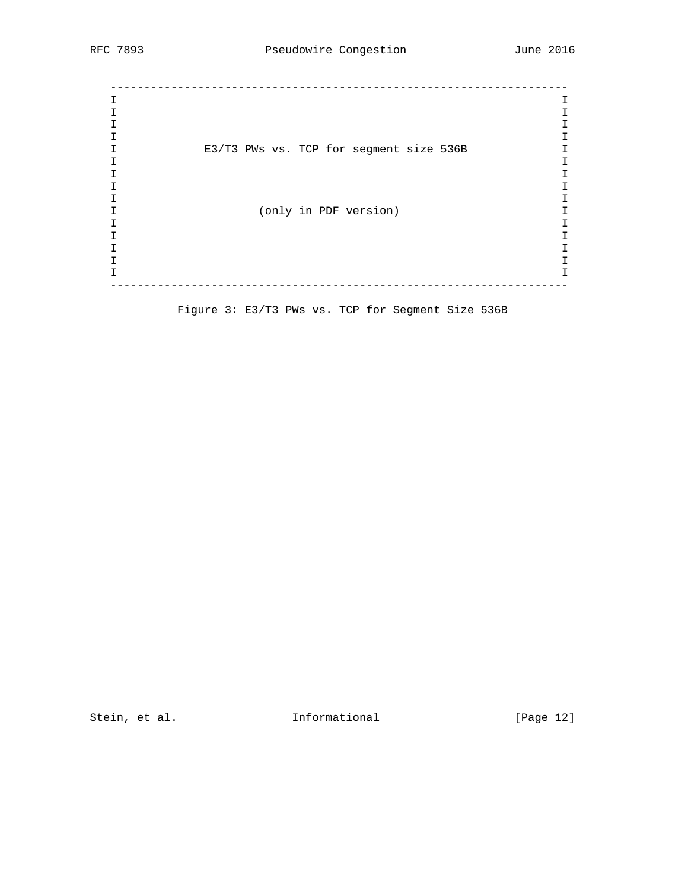-------------------------------------------------------------------- I I I I I I I I I E3/T3 PWs vs. TCP for segment size 536B I I I I I I I I I I (only in PDF version) I I I I I I I I I I I --------------------------------------------------------------------

Figure 3: E3/T3 PWs vs. TCP for Segment Size 536B

Stein, et al. 1nformational [Page 12]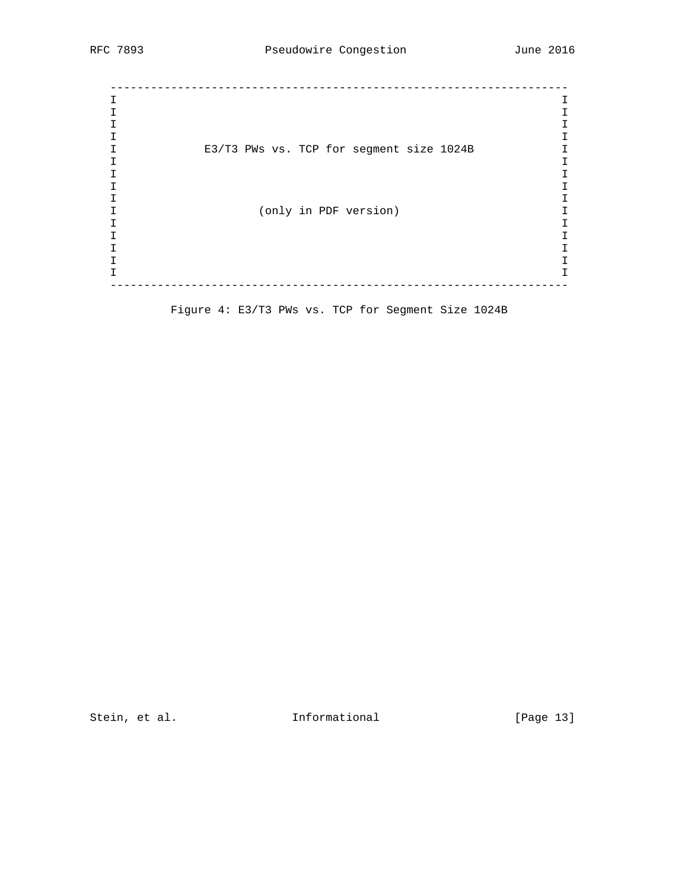-------------------------------------------------------------------- I I I I I I I I I E3/T3 PWs vs. TCP for segment size 1024B I I I I I I I I I I (only in PDF version) I I I I I I I I I I I --------------------------------------------------------------------

Figure 4: E3/T3 PWs vs. TCP for Segment Size 1024B

Stein, et al. 10 1nformational 1999 [Page 13]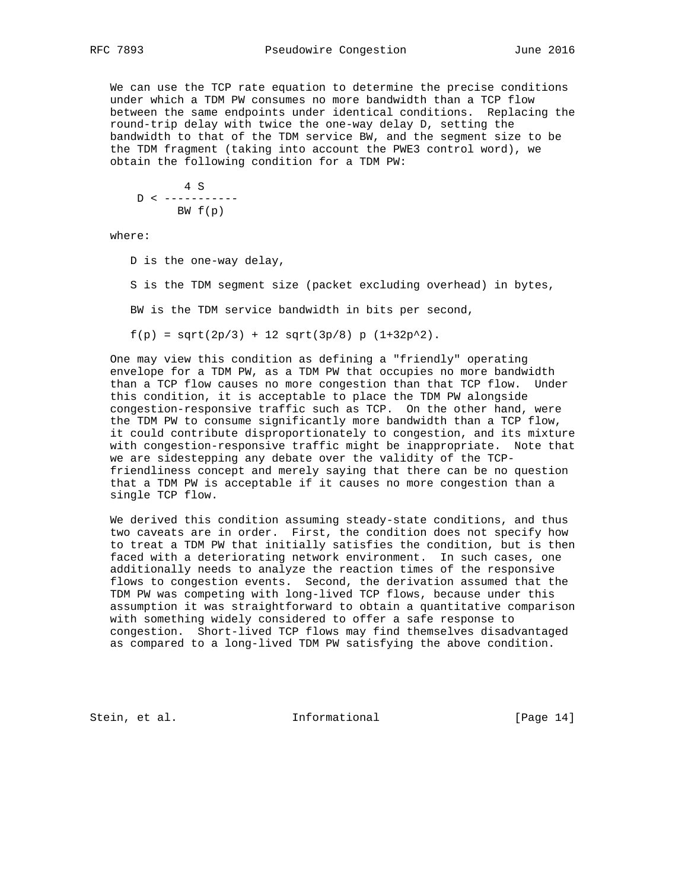We can use the TCP rate equation to determine the precise conditions under which a TDM PW consumes no more bandwidth than a TCP flow between the same endpoints under identical conditions. Replacing the round-trip delay with twice the one-way delay D, setting the bandwidth to that of the TDM service BW, and the segment size to be the TDM fragment (taking into account the PWE3 control word), we obtain the following condition for a TDM PW:

 4 S  $D < - - - - - - - - - - -$ BW f(p)

where:

D is the one-way delay,

S is the TDM segment size (packet excluding overhead) in bytes,

BW is the TDM service bandwidth in bits per second,

 $f(p) = sqrt(2p/3) + 12 sqrt(3p/8) p (1+32p^2).$ 

 One may view this condition as defining a "friendly" operating envelope for a TDM PW, as a TDM PW that occupies no more bandwidth than a TCP flow causes no more congestion than that TCP flow. Under this condition, it is acceptable to place the TDM PW alongside congestion-responsive traffic such as TCP. On the other hand, were the TDM PW to consume significantly more bandwidth than a TCP flow, it could contribute disproportionately to congestion, and its mixture with congestion-responsive traffic might be inappropriate. Note that we are sidestepping any debate over the validity of the TCP friendliness concept and merely saying that there can be no question that a TDM PW is acceptable if it causes no more congestion than a single TCP flow.

 We derived this condition assuming steady-state conditions, and thus two caveats are in order. First, the condition does not specify how to treat a TDM PW that initially satisfies the condition, but is then faced with a deteriorating network environment. In such cases, one additionally needs to analyze the reaction times of the responsive flows to congestion events. Second, the derivation assumed that the TDM PW was competing with long-lived TCP flows, because under this assumption it was straightforward to obtain a quantitative comparison with something widely considered to offer a safe response to congestion. Short-lived TCP flows may find themselves disadvantaged as compared to a long-lived TDM PW satisfying the above condition.

Stein, et al. 10 Informational [Page 14]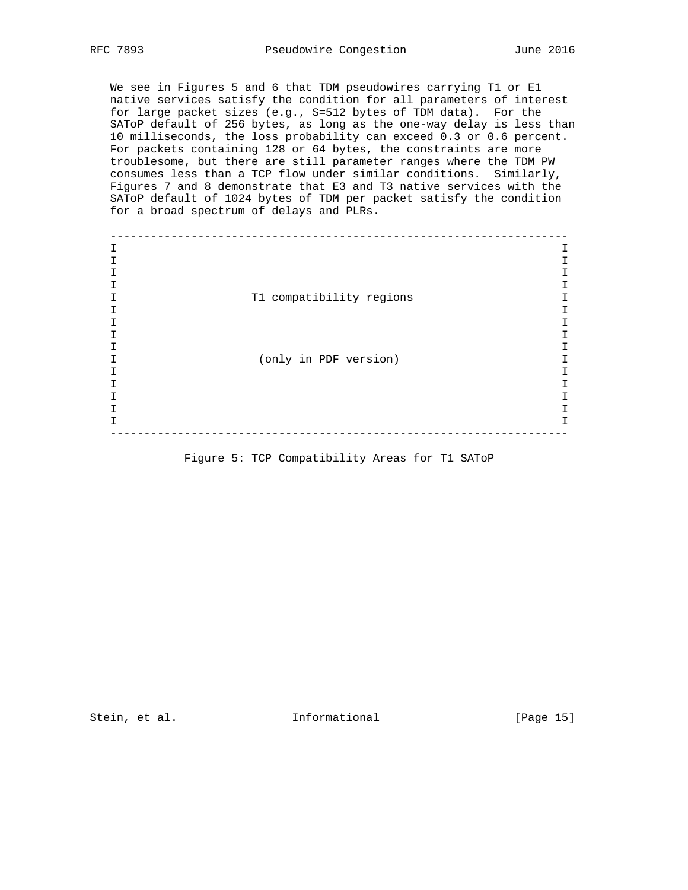We see in Figures 5 and 6 that TDM pseudowires carrying T1 or E1 native services satisfy the condition for all parameters of interest for large packet sizes (e.g., S=512 bytes of TDM data). For the SAToP default of 256 bytes, as long as the one-way delay is less than 10 milliseconds, the loss probability can exceed 0.3 or 0.6 percent. For packets containing 128 or 64 bytes, the constraints are more troublesome, but there are still parameter ranges where the TDM PW consumes less than a TCP flow under similar conditions. Similarly, Figures 7 and 8 demonstrate that E3 and T3 native services with the SAToP default of 1024 bytes of TDM per packet satisfy the condition for a broad spectrum of delays and PLRs.

 -------------------------------------------------------------------- I I I I I I I I I T1 compatibility regions I I I I I I I I I I (only in PDF version) I I I I I I I I I I I --------------------------------------------------------------------

Figure 5: TCP Compatibility Areas for T1 SAToP

Stein, et al. 10 methormational [Page 15]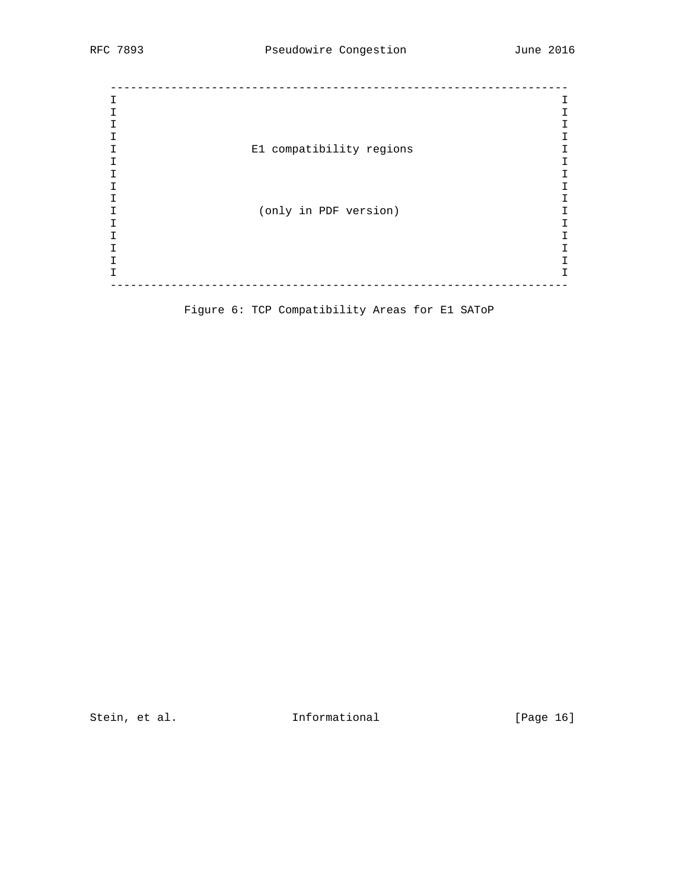| Т |                          |   |
|---|--------------------------|---|
|   |                          |   |
|   |                          |   |
|   |                          | T |
|   | E1 compatibility regions |   |
|   |                          |   |
|   |                          |   |
|   |                          | Τ |
|   |                          |   |
|   | (only in PDF version)    |   |
|   |                          |   |
|   |                          |   |
|   |                          | Τ |
|   |                          |   |
|   |                          | I |
|   |                          |   |

Figure 6: TCP Compatibility Areas for E1 SAToP

Stein, et al. 1nformational [Page 16]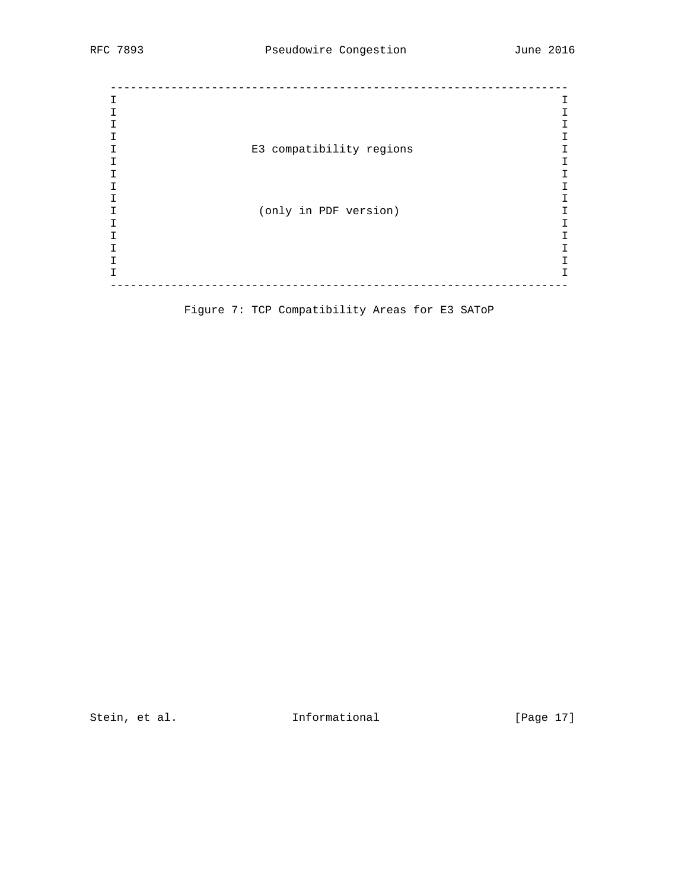| E3 compatibility regions |   |  |  |  |  |
|--------------------------|---|--|--|--|--|
|                          |   |  |  |  |  |
|                          |   |  |  |  |  |
|                          |   |  |  |  |  |
|                          |   |  |  |  |  |
| (only in PDF version)    |   |  |  |  |  |
|                          |   |  |  |  |  |
|                          |   |  |  |  |  |
|                          |   |  |  |  |  |
|                          |   |  |  |  |  |
|                          | Ι |  |  |  |  |
|                          |   |  |  |  |  |

Figure 7: TCP Compatibility Areas for E3 SAToP

Stein, et al. 1nformational [Page 17]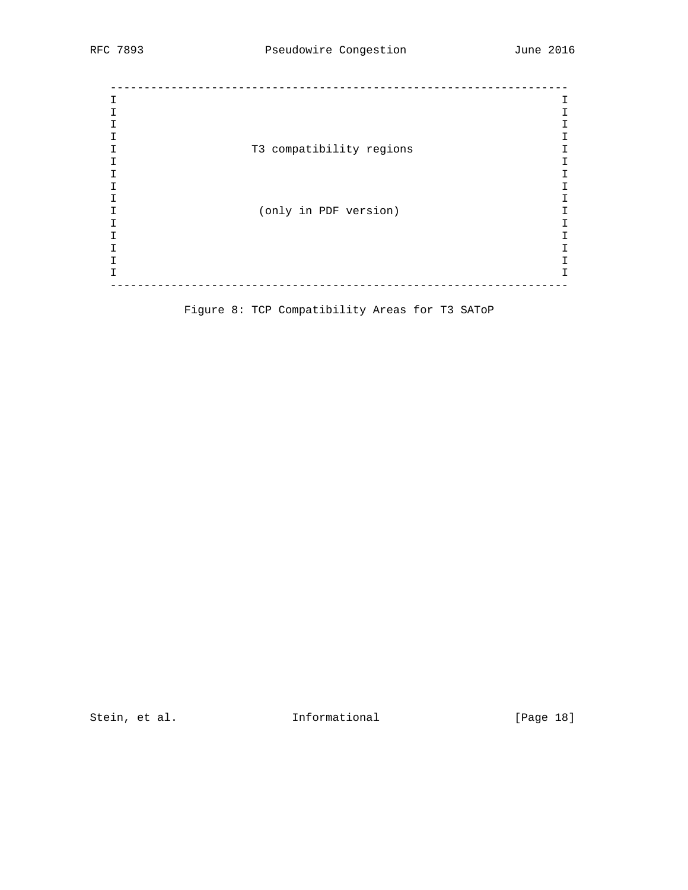| т |                          |    |
|---|--------------------------|----|
|   |                          |    |
|   |                          |    |
|   |                          | T. |
|   | T3 compatibility regions |    |
|   |                          |    |
|   |                          |    |
|   |                          |    |
|   |                          |    |
|   | (only in PDF version)    |    |
|   |                          |    |
|   |                          |    |
|   |                          |    |
|   |                          |    |
|   |                          | Τ  |
|   |                          |    |

Figure 8: TCP Compatibility Areas for T3 SAToP

Stein, et al. 1nformational [Page 18]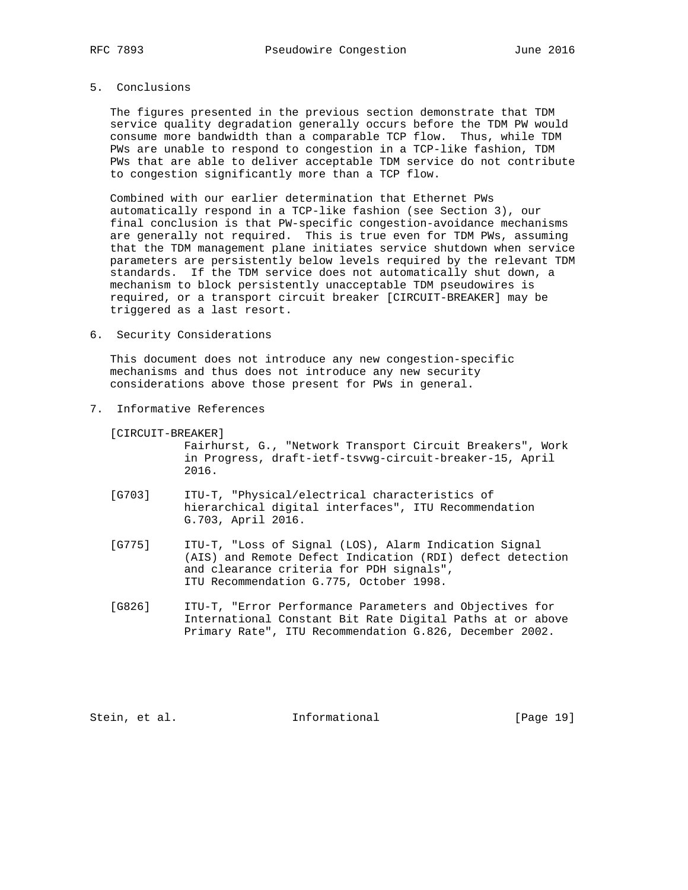# 5. Conclusions

 The figures presented in the previous section demonstrate that TDM service quality degradation generally occurs before the TDM PW would consume more bandwidth than a comparable TCP flow. Thus, while TDM PWs are unable to respond to congestion in a TCP-like fashion, TDM PWs that are able to deliver acceptable TDM service do not contribute to congestion significantly more than a TCP flow.

 Combined with our earlier determination that Ethernet PWs automatically respond in a TCP-like fashion (see Section 3), our final conclusion is that PW-specific congestion-avoidance mechanisms are generally not required. This is true even for TDM PWs, assuming that the TDM management plane initiates service shutdown when service parameters are persistently below levels required by the relevant TDM standards. If the TDM service does not automatically shut down, a mechanism to block persistently unacceptable TDM pseudowires is required, or a transport circuit breaker [CIRCUIT-BREAKER] may be triggered as a last resort.

6. Security Considerations

 This document does not introduce any new congestion-specific mechanisms and thus does not introduce any new security considerations above those present for PWs in general.

7. Informative References

[CIRCUIT-BREAKER]

 Fairhurst, G., "Network Transport Circuit Breakers", Work in Progress, draft-ietf-tsvwg-circuit-breaker-15, April 2016.

- [G703] ITU-T, "Physical/electrical characteristics of hierarchical digital interfaces", ITU Recommendation G.703, April 2016.
- [G775] ITU-T, "Loss of Signal (LOS), Alarm Indication Signal (AIS) and Remote Defect Indication (RDI) defect detection and clearance criteria for PDH signals", ITU Recommendation G.775, October 1998.
- [G826] ITU-T, "Error Performance Parameters and Objectives for International Constant Bit Rate Digital Paths at or above Primary Rate", ITU Recommendation G.826, December 2002.

Stein, et al. 10 Informational [Page 19]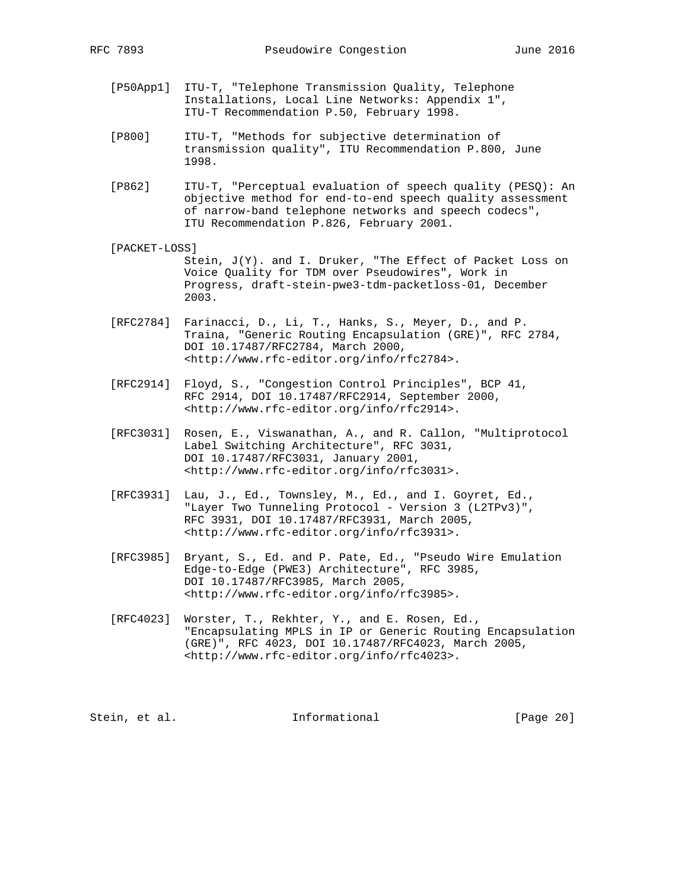- [P50App1] ITU-T, "Telephone Transmission Quality, Telephone Installations, Local Line Networks: Appendix 1", ITU-T Recommendation P.50, February 1998.
- [P800] ITU-T, "Methods for subjective determination of transmission quality", ITU Recommendation P.800, June 1998.
- [P862] ITU-T, "Perceptual evaluation of speech quality (PESQ): An objective method for end-to-end speech quality assessment of narrow-band telephone networks and speech codecs", ITU Recommendation P.826, February 2001.
- [PACKET-LOSS] Stein, J(Y). and I. Druker, "The Effect of Packet Loss on Voice Quality for TDM over Pseudowires", Work in Progress, draft-stein-pwe3-tdm-packetloss-01, December 2003.
- [RFC2784] Farinacci, D., Li, T., Hanks, S., Meyer, D., and P. Traina, "Generic Routing Encapsulation (GRE)", RFC 2784, DOI 10.17487/RFC2784, March 2000, <http://www.rfc-editor.org/info/rfc2784>.
- [RFC2914] Floyd, S., "Congestion Control Principles", BCP 41, RFC 2914, DOI 10.17487/RFC2914, September 2000, <http://www.rfc-editor.org/info/rfc2914>.
- [RFC3031] Rosen, E., Viswanathan, A., and R. Callon, "Multiprotocol Label Switching Architecture", RFC 3031, DOI 10.17487/RFC3031, January 2001, <http://www.rfc-editor.org/info/rfc3031>.
- [RFC3931] Lau, J., Ed., Townsley, M., Ed., and I. Goyret, Ed., "Layer Two Tunneling Protocol - Version 3 (L2TPv3)", RFC 3931, DOI 10.17487/RFC3931, March 2005, <http://www.rfc-editor.org/info/rfc3931>.
- [RFC3985] Bryant, S., Ed. and P. Pate, Ed., "Pseudo Wire Emulation Edge-to-Edge (PWE3) Architecture", RFC 3985, DOI 10.17487/RFC3985, March 2005, <http://www.rfc-editor.org/info/rfc3985>.
	- [RFC4023] Worster, T., Rekhter, Y., and E. Rosen, Ed., "Encapsulating MPLS in IP or Generic Routing Encapsulation (GRE)", RFC 4023, DOI 10.17487/RFC4023, March 2005, <http://www.rfc-editor.org/info/rfc4023>.

Stein, et al. 1nformational [Page 20]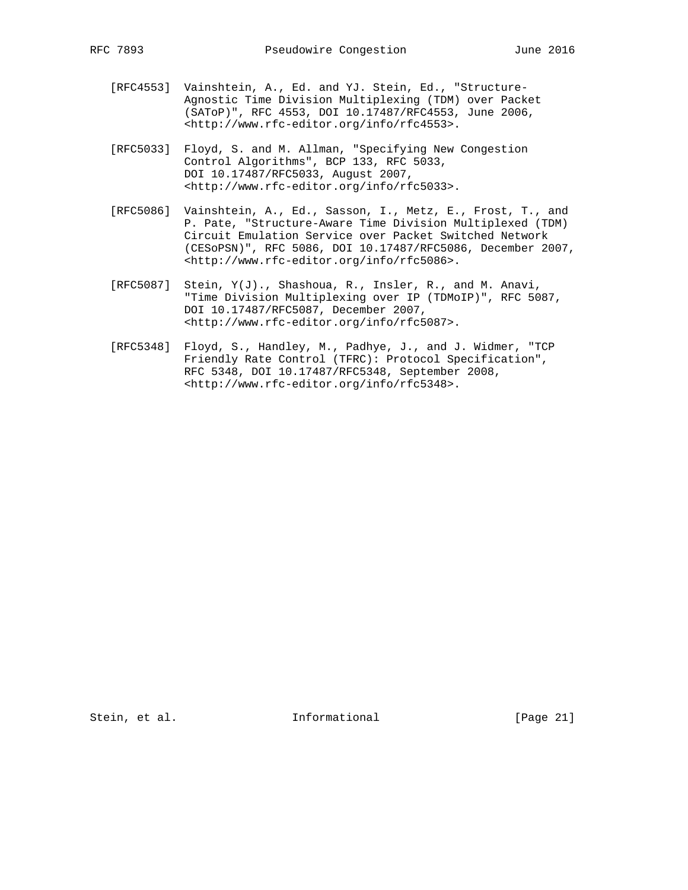- [RFC4553] Vainshtein, A., Ed. and YJ. Stein, Ed., "Structure- Agnostic Time Division Multiplexing (TDM) over Packet (SAToP)", RFC 4553, DOI 10.17487/RFC4553, June 2006, <http://www.rfc-editor.org/info/rfc4553>.
- [RFC5033] Floyd, S. and M. Allman, "Specifying New Congestion Control Algorithms", BCP 133, RFC 5033, DOI 10.17487/RFC5033, August 2007, <http://www.rfc-editor.org/info/rfc5033>.
- [RFC5086] Vainshtein, A., Ed., Sasson, I., Metz, E., Frost, T., and P. Pate, "Structure-Aware Time Division Multiplexed (TDM) Circuit Emulation Service over Packet Switched Network (CESoPSN)", RFC 5086, DOI 10.17487/RFC5086, December 2007, <http://www.rfc-editor.org/info/rfc5086>.
- [RFC5087] Stein, Y(J)., Shashoua, R., Insler, R., and M. Anavi, "Time Division Multiplexing over IP (TDMoIP)", RFC 5087, DOI 10.17487/RFC5087, December 2007, <http://www.rfc-editor.org/info/rfc5087>.
- [RFC5348] Floyd, S., Handley, M., Padhye, J., and J. Widmer, "TCP Friendly Rate Control (TFRC): Protocol Specification", RFC 5348, DOI 10.17487/RFC5348, September 2008, <http://www.rfc-editor.org/info/rfc5348>.

Stein, et al. 10 Informational [Page 21]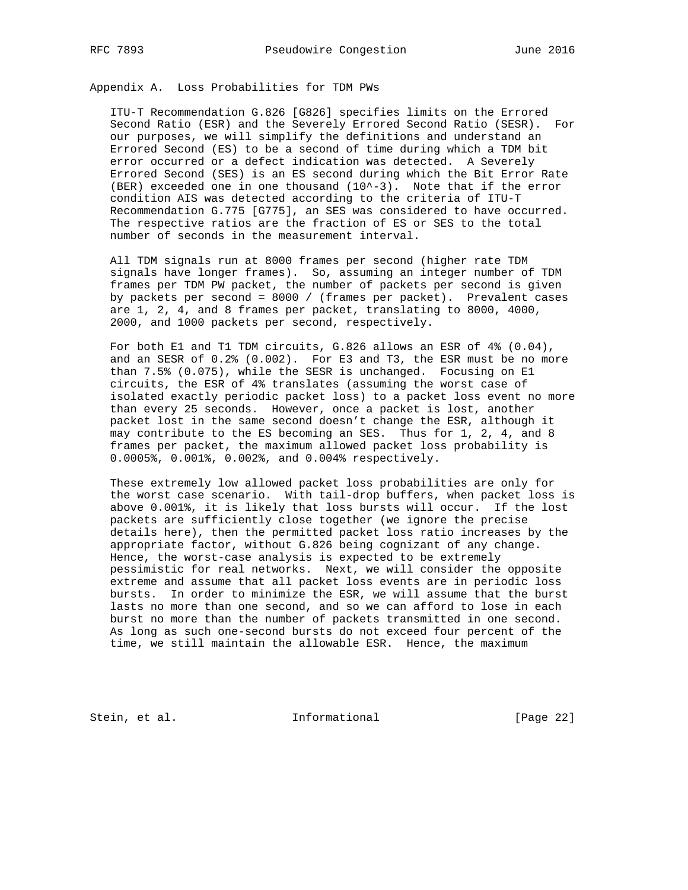Appendix A. Loss Probabilities for TDM PWs

 ITU-T Recommendation G.826 [G826] specifies limits on the Errored Second Ratio (ESR) and the Severely Errored Second Ratio (SESR). For our purposes, we will simplify the definitions and understand an Errored Second (ES) to be a second of time during which a TDM bit error occurred or a defect indication was detected. A Severely Errored Second (SES) is an ES second during which the Bit Error Rate (BER) exceeded one in one thousand  $(10^{\wedge}-3)$ . Note that if the error condition AIS was detected according to the criteria of ITU-T Recommendation G.775 [G775], an SES was considered to have occurred. The respective ratios are the fraction of ES or SES to the total number of seconds in the measurement interval.

 All TDM signals run at 8000 frames per second (higher rate TDM signals have longer frames). So, assuming an integer number of TDM frames per TDM PW packet, the number of packets per second is given by packets per second = 8000 / (frames per packet). Prevalent cases are 1, 2, 4, and 8 frames per packet, translating to 8000, 4000, 2000, and 1000 packets per second, respectively.

 For both E1 and T1 TDM circuits, G.826 allows an ESR of 4% (0.04), and an SESR of 0.2% (0.002). For E3 and T3, the ESR must be no more than 7.5% (0.075), while the SESR is unchanged. Focusing on E1 circuits, the ESR of 4% translates (assuming the worst case of isolated exactly periodic packet loss) to a packet loss event no more than every 25 seconds. However, once a packet is lost, another packet lost in the same second doesn't change the ESR, although it may contribute to the ES becoming an SES. Thus for 1, 2, 4, and 8 frames per packet, the maximum allowed packet loss probability is 0.0005%, 0.001%, 0.002%, and 0.004% respectively.

 These extremely low allowed packet loss probabilities are only for the worst case scenario. With tail-drop buffers, when packet loss is above 0.001%, it is likely that loss bursts will occur. If the lost packets are sufficiently close together (we ignore the precise details here), then the permitted packet loss ratio increases by the appropriate factor, without G.826 being cognizant of any change. Hence, the worst-case analysis is expected to be extremely pessimistic for real networks. Next, we will consider the opposite extreme and assume that all packet loss events are in periodic loss bursts. In order to minimize the ESR, we will assume that the burst lasts no more than one second, and so we can afford to lose in each burst no more than the number of packets transmitted in one second. As long as such one-second bursts do not exceed four percent of the time, we still maintain the allowable ESR. Hence, the maximum

Stein, et al. 1nformational [Page 22]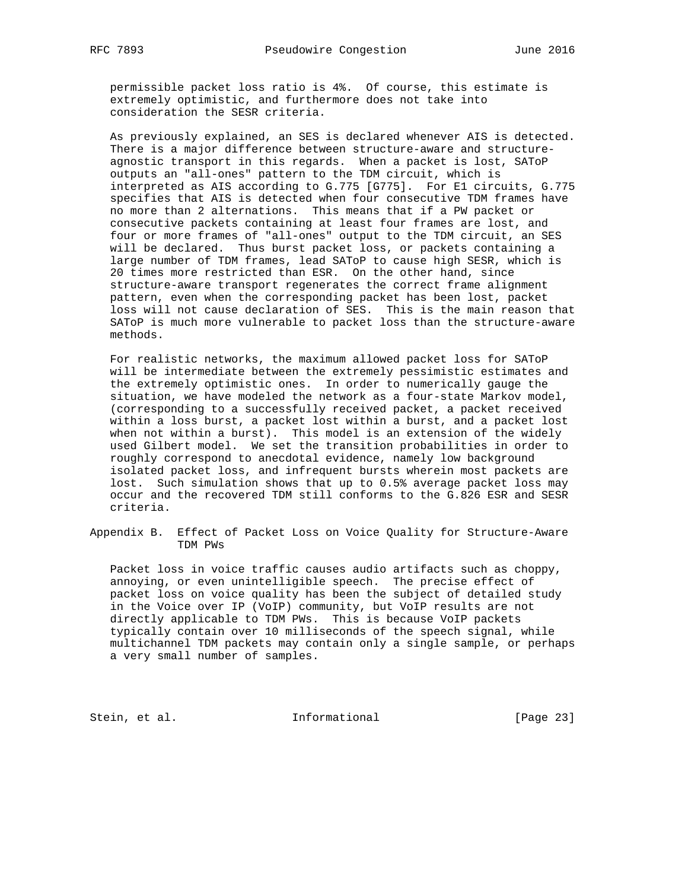permissible packet loss ratio is 4%. Of course, this estimate is extremely optimistic, and furthermore does not take into consideration the SESR criteria.

 As previously explained, an SES is declared whenever AIS is detected. There is a major difference between structure-aware and structure agnostic transport in this regards. When a packet is lost, SAToP outputs an "all-ones" pattern to the TDM circuit, which is interpreted as AIS according to G.775 [G775]. For E1 circuits, G.775 specifies that AIS is detected when four consecutive TDM frames have no more than 2 alternations. This means that if a PW packet or consecutive packets containing at least four frames are lost, and four or more frames of "all-ones" output to the TDM circuit, an SES will be declared. Thus burst packet loss, or packets containing a large number of TDM frames, lead SAToP to cause high SESR, which is 20 times more restricted than ESR. On the other hand, since structure-aware transport regenerates the correct frame alignment pattern, even when the corresponding packet has been lost, packet loss will not cause declaration of SES. This is the main reason that SAToP is much more vulnerable to packet loss than the structure-aware methods.

 For realistic networks, the maximum allowed packet loss for SAToP will be intermediate between the extremely pessimistic estimates and the extremely optimistic ones. In order to numerically gauge the situation, we have modeled the network as a four-state Markov model, (corresponding to a successfully received packet, a packet received within a loss burst, a packet lost within a burst, and a packet lost when not within a burst). This model is an extension of the widely used Gilbert model. We set the transition probabilities in order to roughly correspond to anecdotal evidence, namely low background isolated packet loss, and infrequent bursts wherein most packets are lost. Such simulation shows that up to 0.5% average packet loss may occur and the recovered TDM still conforms to the G.826 ESR and SESR criteria.

Appendix B. Effect of Packet Loss on Voice Quality for Structure-Aware TDM PWs

 Packet loss in voice traffic causes audio artifacts such as choppy, annoying, or even unintelligible speech. The precise effect of packet loss on voice quality has been the subject of detailed study in the Voice over IP (VoIP) community, but VoIP results are not directly applicable to TDM PWs. This is because VoIP packets typically contain over 10 milliseconds of the speech signal, while multichannel TDM packets may contain only a single sample, or perhaps a very small number of samples.

Stein, et al. 1nformational [Page 23]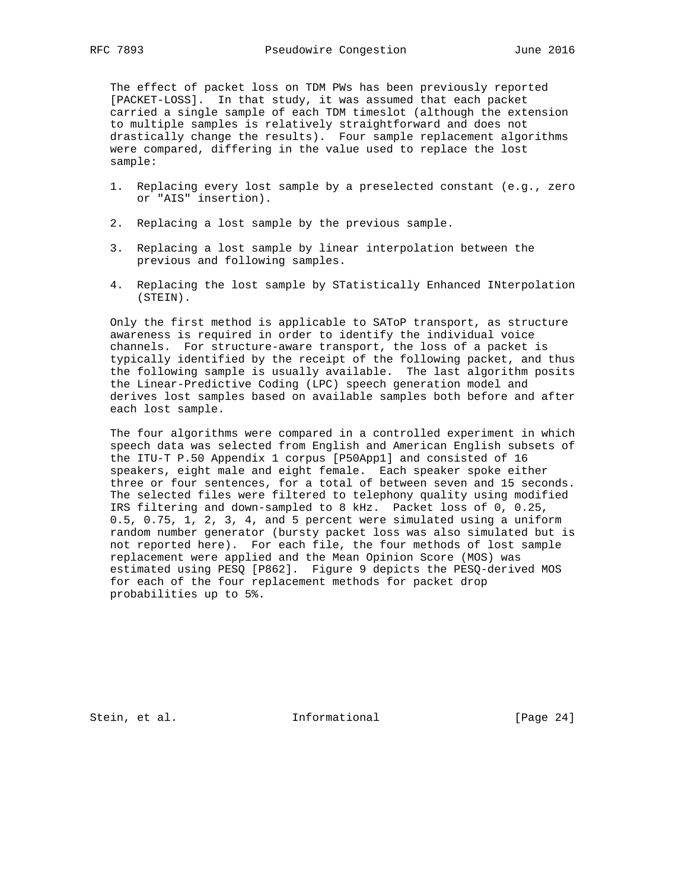The effect of packet loss on TDM PWs has been previously reported [PACKET-LOSS]. In that study, it was assumed that each packet carried a single sample of each TDM timeslot (although the extension to multiple samples is relatively straightforward and does not drastically change the results). Four sample replacement algorithms were compared, differing in the value used to replace the lost sample:

- 1. Replacing every lost sample by a preselected constant (e.g., zero or "AIS" insertion).
- 2. Replacing a lost sample by the previous sample.
- 3. Replacing a lost sample by linear interpolation between the previous and following samples.
- 4. Replacing the lost sample by STatistically Enhanced INterpolation (STEIN).

 Only the first method is applicable to SAToP transport, as structure awareness is required in order to identify the individual voice channels. For structure-aware transport, the loss of a packet is typically identified by the receipt of the following packet, and thus the following sample is usually available. The last algorithm posits the Linear-Predictive Coding (LPC) speech generation model and derives lost samples based on available samples both before and after each lost sample.

 The four algorithms were compared in a controlled experiment in which speech data was selected from English and American English subsets of the ITU-T P.50 Appendix 1 corpus [P50App1] and consisted of 16 speakers, eight male and eight female. Each speaker spoke either three or four sentences, for a total of between seven and 15 seconds. The selected files were filtered to telephony quality using modified IRS filtering and down-sampled to 8 kHz. Packet loss of 0, 0.25, 0.5, 0.75, 1, 2, 3, 4, and 5 percent were simulated using a uniform random number generator (bursty packet loss was also simulated but is not reported here). For each file, the four methods of lost sample replacement were applied and the Mean Opinion Score (MOS) was estimated using PESQ [P862]. Figure 9 depicts the PESQ-derived MOS for each of the four replacement methods for packet drop probabilities up to 5%.

Stein, et al. 10 Informational [Page 24]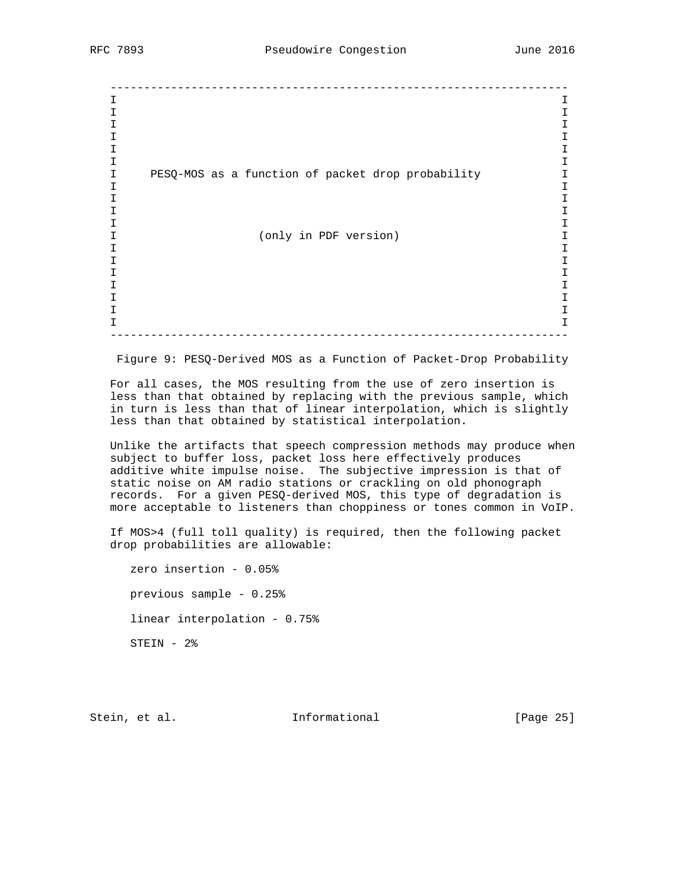-------------------------------------------------------------------- I I I I I I I I I I I I I PESQ-MOS as a function of packet drop probability I I I I I I I I I I (only in PDF version) I I I I I I I I I I I I I I I --------------------------------------------------------------------

Figure 9: PESQ-Derived MOS as a Function of Packet-Drop Probability

 For all cases, the MOS resulting from the use of zero insertion is less than that obtained by replacing with the previous sample, which in turn is less than that of linear interpolation, which is slightly less than that obtained by statistical interpolation.

 Unlike the artifacts that speech compression methods may produce when subject to buffer loss, packet loss here effectively produces additive white impulse noise. The subjective impression is that of static noise on AM radio stations or crackling on old phonograph records. For a given PESQ-derived MOS, this type of degradation is more acceptable to listeners than choppiness or tones common in VoIP.

 If MOS>4 (full toll quality) is required, then the following packet drop probabilities are allowable:

 zero insertion - 0.05% previous sample - 0.25% linear interpolation - 0.75% STEIN - 2%

Stein, et al. 1nformational [Page 25]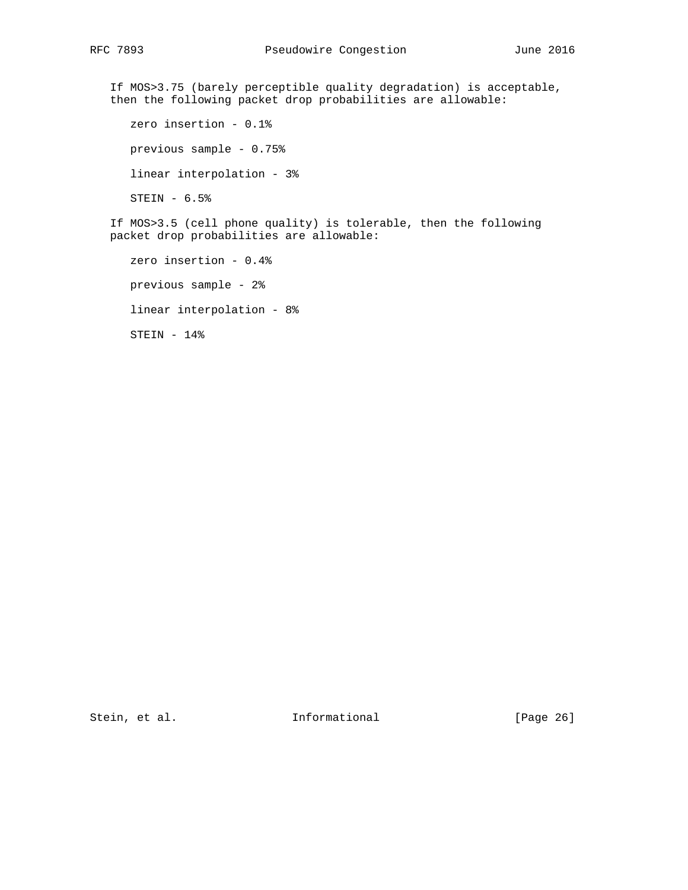If MOS>3.75 (barely perceptible quality degradation) is acceptable, then the following packet drop probabilities are allowable: zero insertion - 0.1% previous sample - 0.75%

linear interpolation - 3%

STEIN - 6.5%

 If MOS>3.5 (cell phone quality) is tolerable, then the following packet drop probabilities are allowable:

 zero insertion - 0.4% previous sample - 2% linear interpolation - 8% STEIN - 14%